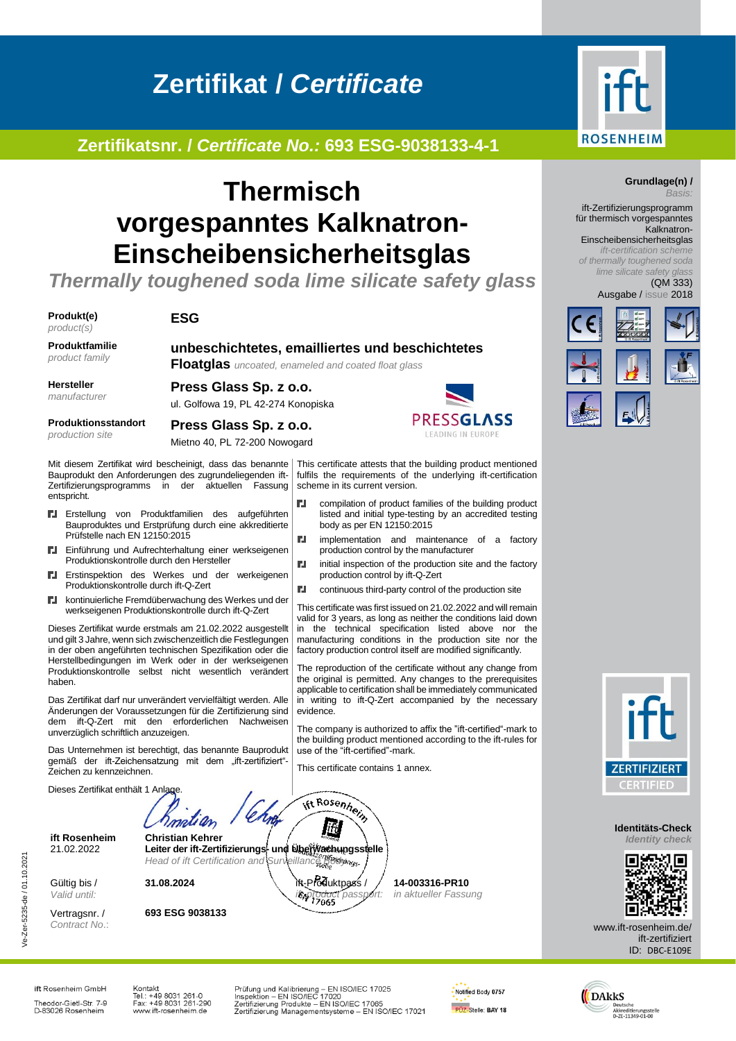# **Zertifikat /** *Certificate*

## **Zertifikatsnr. /** *Certificate No.:* **693 ESG-9038133-4-1**

## **Thermisch vorgespanntes Kalknatron-Einscheibensicherheitsglas**

*Thermally toughened soda lime silicate safety glass*

**Produkt(e)** *product(s)*

#### **ESG**

**Produktfamilie** *product family*

**unbeschichtetes, emailliertes und beschichtetes** 

**Floatglas** *uncoated, enameled and coated float glass*

**Hersteller** *manufacturer*

**Produktionsstandort** *production site*

**Press Glass Sp. z o.o.** ul. Golfowa 19, PL 42-274 Konopiska **Press Glass Sp. z o.o.**

Mietno 40, PL 72-200 Nowogard



compilation of product families of the building product listed and initial type-testing by an accredited testing

implementation and maintenance of a factory

initial inspection of the production site and the factory

continuous third-party control of the production site This certificate was first issued on 21.02.2022 and will remain valid for 3 years, as long as neither the conditions laid down in the technical specification listed above nor the manufacturing conditions in the production site nor the factory production control itself are modified significantly. The reproduction of the certificate without any change from the original is permitted. Any changes to the prerequisites applicable to certification shall be immediately communicated in writing to ift-Q-Zert accompanied by the necessary

The company is authorized to affix the "ift-certified"-mark to the building product mentioned according to the ift-rules for

body as per EN 12150:2015

production control by ift-Q-Zert

production control by the manufacturer

Mit diesem Zertifikat wird bescheinigt, dass das benannte This certificate attests that the building product mentioned Bauprodukt den Anforderungen des zugrundeliegenden ift-<br>Zertifizierungsprogramms in der aktuellen Fassung fulfils the requirements of the underlying ift-certification Zertifizierungsprogramms in der aktuellen scheme in its current version. entspricht. r.

- Erstellung von Produktfamilien des aufgeführten ГJ. Bauproduktes und Erstprüfung durch eine akkreditierte Prüfstelle nach EN 12150:2015
- Einführung und Aufrechterhaltung einer werkseigenen Produktionskontrolle durch den Hersteller
- Erstinspektion des Werkes und der werkeigenen г. Produktionskontrolle durch ift-Q-Zert
- kontinuierliche Fremdüberwachung des Werkes und der Г. . werkseigenen Produktionskontrolle durch ift-Q-Zert

Dieses Zertifikat wurde erstmals am 21.02.2022 ausgestellt und gilt 3 Jahre, wenn sich zwischenzeitlich die Festlegungen in der oben angeführten technischen Spezifikation oder die Herstellbedingungen im Werk oder in der werkseigenen Produktionskontrolle selbst nicht wesentlich verändert haben.

Das Zertifikat darf nur unverändert vervielfältigt werden. Alle Änderungen der Voraussetzungen für die Zertifizierung sind dem ift-Q-Zert mit den erforderlichen Nachweisen unverzüglich schriftlich anzuzeigen.

Das Unternehmen ist berechtigt, das benannte Bauprodukt gemäß der ift-Zeichensatzung mit dem "ift-zertifiziert"-Zeichen zu kennzeichnen.

Dieses Zertifikat enthält 1 Anlag ift Rosenhein İfı **ift Rosenheim Christian Kehrer** 21.02.2022 **Leiter der ift-Zertifizierungs- und Überwachungsstelle** Head of ift Certification and Surveillance Bodyngs

**31.08.2024** ift-Produktpass /

Gültig bis / *Valid until:*

Ve-Zer-5235-de / 01.10.2021

/e-Zer-5235-de / 01.10.2021

Vertragsnr. / *Contract No*.: **693 ESG 9038133**

**14-003316-PR10** *in aktueller Fassung*



#### **Grundlage(n) /** *Basis:*

ift-Zertifizierungsprogramm für thermisch vorgespanntes Kalknatron-

Einscheibensicherheitsglas *ift-certification scheme of thermally toughened soda lime silicate safety glass*

(QM 333) Ausgabe / issue 2018





**Identitäts-Check** *Identity check*



www.ift-rosenheim.de/ ift-zertifiziert ID: DBC-E109E

ift Rosenheim GmbH Theodor-Gietl-Str. 7-9<br>D-83026 Rosenheim

Kontakt Nontakt<br>Tel.: +49 8031 261-0<br>Fax: +49 8031 261-290<br>www.ift-rosenheim.de Prüfung und Kalibrierung – EN ISO/IEC 17025<br>Inspektion – EN ISO/IEC 17020<br>Zertifizierung Produkte – EN ISO/IEC 17065<br>Zertifizierung Managementsysteme – EN ISO/IEC 17021

*ift-product passport:*

evidence.

**N** 

ГJ,

ГJ,

use of the "ift-certified"-mark. This certificate contains 1 annex.

> Notified Body 0757 PÜZ-Stelle: BAY 18